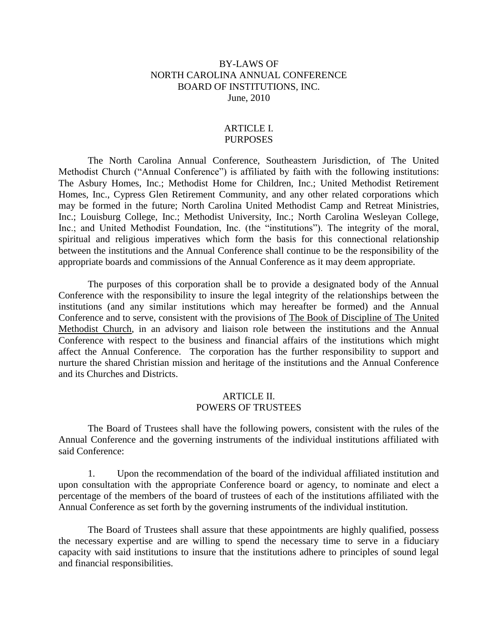# BY-LAWS OF NORTH CAROLINA ANNUAL CONFERENCE BOARD OF INSTITUTIONS, INC. June, 2010

#### ARTICLE I. PURPOSES

The North Carolina Annual Conference, Southeastern Jurisdiction, of The United Methodist Church ("Annual Conference") is affiliated by faith with the following institutions: The Asbury Homes, Inc.; Methodist Home for Children, Inc.; United Methodist Retirement Homes, Inc., Cypress Glen Retirement Community, and any other related corporations which may be formed in the future; North Carolina United Methodist Camp and Retreat Ministries, Inc.; Louisburg College, Inc.; Methodist University, Inc.; North Carolina Wesleyan College, Inc.; and United Methodist Foundation, Inc. (the "institutions"). The integrity of the moral, spiritual and religious imperatives which form the basis for this connectional relationship between the institutions and the Annual Conference shall continue to be the responsibility of the appropriate boards and commissions of the Annual Conference as it may deem appropriate.

The purposes of this corporation shall be to provide a designated body of the Annual Conference with the responsibility to insure the legal integrity of the relationships between the institutions (and any similar institutions which may hereafter be formed) and the Annual Conference and to serve, consistent with the provisions of The Book of Discipline of The United Methodist Church, in an advisory and liaison role between the institutions and the Annual Conference with respect to the business and financial affairs of the institutions which might affect the Annual Conference. The corporation has the further responsibility to support and nurture the shared Christian mission and heritage of the institutions and the Annual Conference and its Churches and Districts.

### ARTICLE II. POWERS OF TRUSTEES

The Board of Trustees shall have the following powers, consistent with the rules of the Annual Conference and the governing instruments of the individual institutions affiliated with said Conference:

1. Upon the recommendation of the board of the individual affiliated institution and upon consultation with the appropriate Conference board or agency, to nominate and elect a percentage of the members of the board of trustees of each of the institutions affiliated with the Annual Conference as set forth by the governing instruments of the individual institution.

The Board of Trustees shall assure that these appointments are highly qualified, possess the necessary expertise and are willing to spend the necessary time to serve in a fiduciary capacity with said institutions to insure that the institutions adhere to principles of sound legal and financial responsibilities.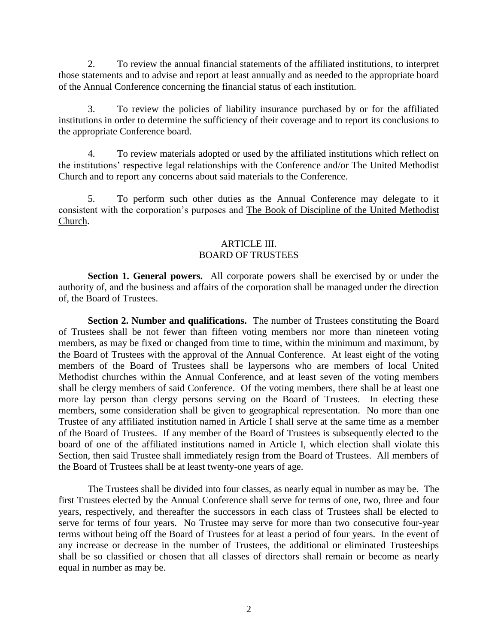2. To review the annual financial statements of the affiliated institutions, to interpret those statements and to advise and report at least annually and as needed to the appropriate board of the Annual Conference concerning the financial status of each institution.

3. To review the policies of liability insurance purchased by or for the affiliated institutions in order to determine the sufficiency of their coverage and to report its conclusions to the appropriate Conference board.

4. To review materials adopted or used by the affiliated institutions which reflect on the institutions' respective legal relationships with the Conference and/or The United Methodist Church and to report any concerns about said materials to the Conference.

5. To perform such other duties as the Annual Conference may delegate to it consistent with the corporation's purposes and The Book of Discipline of the United Methodist Church.

### ARTICLE III. BOARD OF TRUSTEES

**Section 1. General powers.** All corporate powers shall be exercised by or under the authority of, and the business and affairs of the corporation shall be managed under the direction of, the Board of Trustees.

**Section 2. Number and qualifications.** The number of Trustees constituting the Board of Trustees shall be not fewer than fifteen voting members nor more than nineteen voting members, as may be fixed or changed from time to time, within the minimum and maximum, by the Board of Trustees with the approval of the Annual Conference. At least eight of the voting members of the Board of Trustees shall be laypersons who are members of local United Methodist churches within the Annual Conference, and at least seven of the voting members shall be clergy members of said Conference. Of the voting members, there shall be at least one more lay person than clergy persons serving on the Board of Trustees. In electing these members, some consideration shall be given to geographical representation. No more than one Trustee of any affiliated institution named in Article I shall serve at the same time as a member of the Board of Trustees. If any member of the Board of Trustees is subsequently elected to the board of one of the affiliated institutions named in Article I, which election shall violate this Section, then said Trustee shall immediately resign from the Board of Trustees. All members of the Board of Trustees shall be at least twenty-one years of age.

The Trustees shall be divided into four classes, as nearly equal in number as may be. The first Trustees elected by the Annual Conference shall serve for terms of one, two, three and four years, respectively, and thereafter the successors in each class of Trustees shall be elected to serve for terms of four years. No Trustee may serve for more than two consecutive four-year terms without being off the Board of Trustees for at least a period of four years. In the event of any increase or decrease in the number of Trustees, the additional or eliminated Trusteeships shall be so classified or chosen that all classes of directors shall remain or become as nearly equal in number as may be.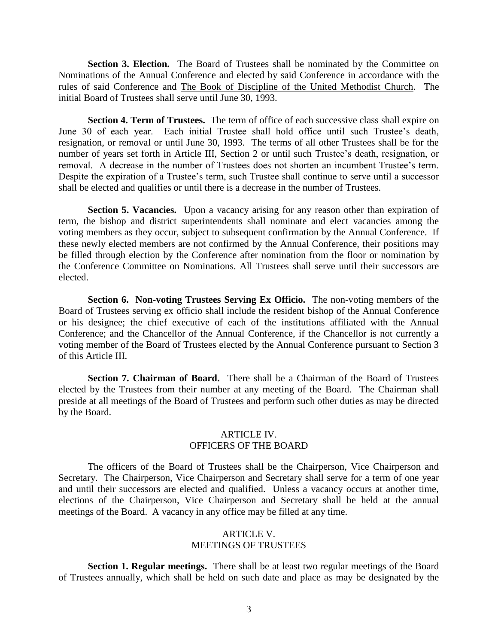Section 3. Election. The Board of Trustees shall be nominated by the Committee on Nominations of the Annual Conference and elected by said Conference in accordance with the rules of said Conference and The Book of Discipline of the United Methodist Church. The initial Board of Trustees shall serve until June 30, 1993.

**Section 4. Term of Trustees.** The term of office of each successive class shall expire on June 30 of each year. Each initial Trustee shall hold office until such Trustee's death, resignation, or removal or until June 30, 1993. The terms of all other Trustees shall be for the number of years set forth in Article III, Section 2 or until such Trustee's death, resignation, or removal. A decrease in the number of Trustees does not shorten an incumbent Trustee's term. Despite the expiration of a Trustee's term, such Trustee shall continue to serve until a successor shall be elected and qualifies or until there is a decrease in the number of Trustees.

Section 5. Vacancies. Upon a vacancy arising for any reason other than expiration of term, the bishop and district superintendents shall nominate and elect vacancies among the voting members as they occur, subject to subsequent confirmation by the Annual Conference. If these newly elected members are not confirmed by the Annual Conference, their positions may be filled through election by the Conference after nomination from the floor or nomination by the Conference Committee on Nominations. All Trustees shall serve until their successors are elected.

**Section 6. Non-voting Trustees Serving Ex Officio.** The non-voting members of the Board of Trustees serving ex officio shall include the resident bishop of the Annual Conference or his designee; the chief executive of each of the institutions affiliated with the Annual Conference; and the Chancellor of the Annual Conference, if the Chancellor is not currently a voting member of the Board of Trustees elected by the Annual Conference pursuant to Section 3 of this Article III.

**Section 7. Chairman of Board.** There shall be a Chairman of the Board of Trustees elected by the Trustees from their number at any meeting of the Board. The Chairman shall preside at all meetings of the Board of Trustees and perform such other duties as may be directed by the Board.

### ARTICLE IV. OFFICERS OF THE BOARD

The officers of the Board of Trustees shall be the Chairperson, Vice Chairperson and Secretary. The Chairperson, Vice Chairperson and Secretary shall serve for a term of one year and until their successors are elected and qualified. Unless a vacancy occurs at another time, elections of the Chairperson, Vice Chairperson and Secretary shall be held at the annual meetings of the Board. A vacancy in any office may be filled at any time.

# ARTICLE V. MEETINGS OF TRUSTEES

**Section 1. Regular meetings.** There shall be at least two regular meetings of the Board of Trustees annually, which shall be held on such date and place as may be designated by the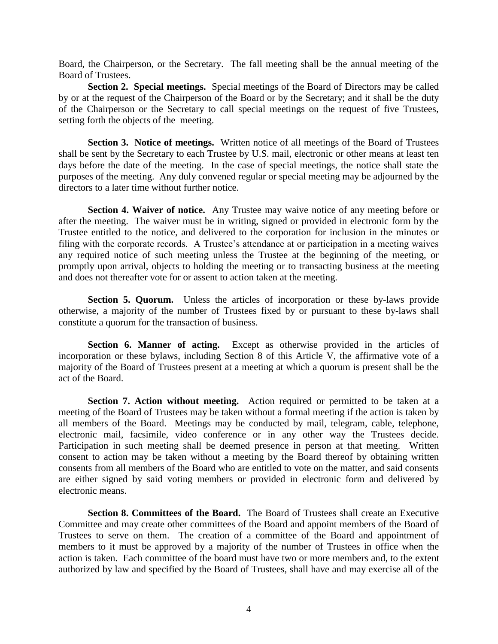Board, the Chairperson, or the Secretary. The fall meeting shall be the annual meeting of the Board of Trustees.

**Section 2. Special meetings.** Special meetings of the Board of Directors may be called by or at the request of the Chairperson of the Board or by the Secretary; and it shall be the duty of the Chairperson or the Secretary to call special meetings on the request of five Trustees, setting forth the objects of the meeting.

**Section 3. Notice of meetings.** Written notice of all meetings of the Board of Trustees shall be sent by the Secretary to each Trustee by U.S. mail, electronic or other means at least ten days before the date of the meeting. In the case of special meetings, the notice shall state the purposes of the meeting. Any duly convened regular or special meeting may be adjourned by the directors to a later time without further notice.

**Section 4. Waiver of notice.** Any Trustee may waive notice of any meeting before or after the meeting. The waiver must be in writing, signed or provided in electronic form by the Trustee entitled to the notice, and delivered to the corporation for inclusion in the minutes or filing with the corporate records. A Trustee's attendance at or participation in a meeting waives any required notice of such meeting unless the Trustee at the beginning of the meeting, or promptly upon arrival, objects to holding the meeting or to transacting business at the meeting and does not thereafter vote for or assent to action taken at the meeting.

**Section 5. Quorum.** Unless the articles of incorporation or these by-laws provide otherwise, a majority of the number of Trustees fixed by or pursuant to these by-laws shall constitute a quorum for the transaction of business.

**Section 6. Manner of acting.** Except as otherwise provided in the articles of incorporation or these bylaws, including Section 8 of this Article V, the affirmative vote of a majority of the Board of Trustees present at a meeting at which a quorum is present shall be the act of the Board.

**Section 7. Action without meeting.** Action required or permitted to be taken at a meeting of the Board of Trustees may be taken without a formal meeting if the action is taken by all members of the Board. Meetings may be conducted by mail, telegram, cable, telephone, electronic mail, facsimile, video conference or in any other way the Trustees decide. Participation in such meeting shall be deemed presence in person at that meeting. Written consent to action may be taken without a meeting by the Board thereof by obtaining written consents from all members of the Board who are entitled to vote on the matter, and said consents are either signed by said voting members or provided in electronic form and delivered by electronic means.

**Section 8. Committees of the Board.** The Board of Trustees shall create an Executive Committee and may create other committees of the Board and appoint members of the Board of Trustees to serve on them. The creation of a committee of the Board and appointment of members to it must be approved by a majority of the number of Trustees in office when the action is taken. Each committee of the board must have two or more members and, to the extent authorized by law and specified by the Board of Trustees, shall have and may exercise all of the